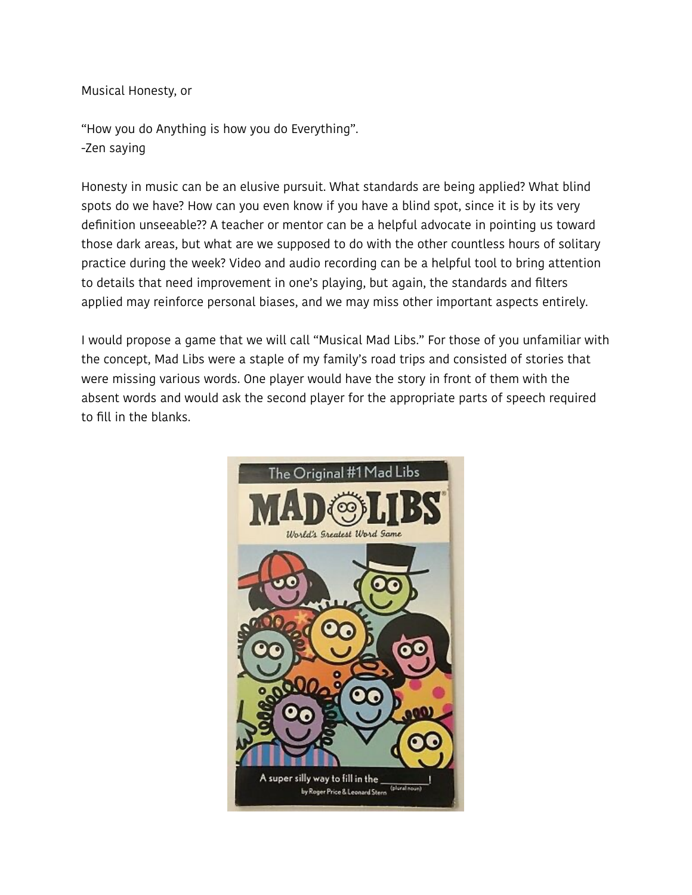Musical Honesty, or

"How you do Anything is how you do Everything". -Zen saying

Honesty in music can be an elusive pursuit. What standards are being applied? What blind spots do we have? How can you even know if you have a blind spot, since it is by its very definition unseeable?? A teacher or mentor can be a helpful advocate in pointing us toward those dark areas, but what are we supposed to do with the other countless hours of solitary practice during the week? Video and audio recording can be a helpful tool to bring attention to details that need improvement in one's playing, but again, the standards and filters applied may reinforce personal biases, and we may miss other important aspects entirely.

I would propose a game that we will call "Musical Mad Libs." For those of you unfamiliar with the concept, Mad Libs were a staple of my family's road trips and consisted of stories that were missing various words. One player would have the story in front of them with the absent words and would ask the second player for the appropriate parts of speech required to fill in the blanks.

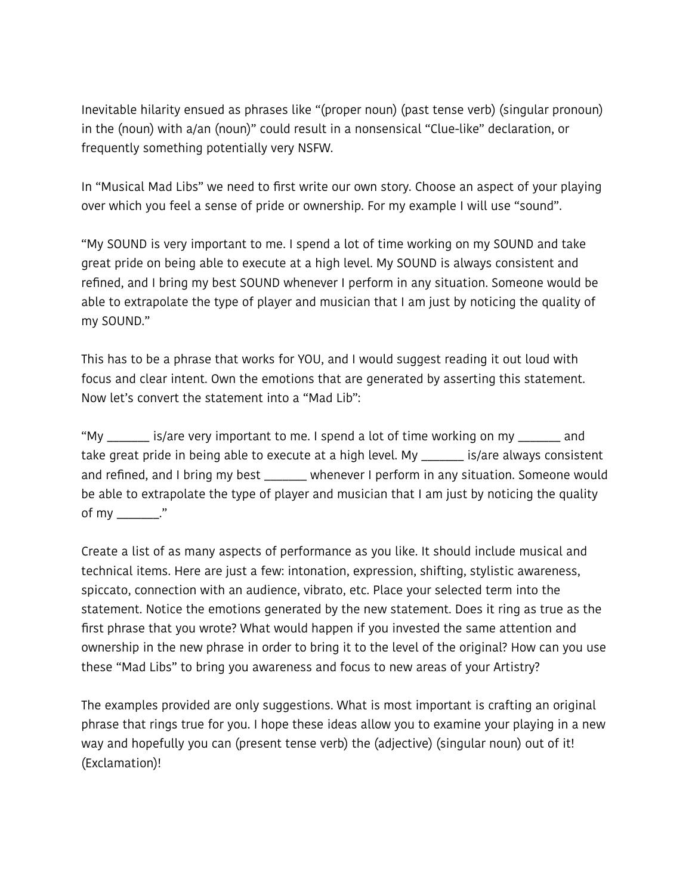Inevitable hilarity ensued as phrases like "(proper noun) (past tense verb) (singular pronoun) in the (noun) with a/an (noun)" could result in a nonsensical "Clue-like" declaration, or frequently something potentially very NSFW.

In "Musical Mad Libs" we need to first write our own story. Choose an aspect of your playing over which you feel a sense of pride or ownership. For my example I will use "sound".

"My SOUND is very important to me. I spend a lot of time working on my SOUND and take great pride on being able to execute at a high level. My SOUND is always consistent and refined, and I bring my best SOUND whenever I perform in any situation. Someone would be able to extrapolate the type of player and musician that I am just by noticing the quality of my SOUND."

This has to be a phrase that works for YOU, and I would suggest reading it out loud with focus and clear intent. Own the emotions that are generated by asserting this statement. Now let's convert the statement into a "Mad Lib":

"My \_\_\_\_\_\_\_ is/are very important to me. I spend a lot of time working on my \_\_\_\_\_\_\_ and take great pride in being able to execute at a high level. My \_\_\_\_\_\_\_ is/are always consistent and refined, and I bring my best \_\_\_\_\_\_\_ whenever I perform in any situation. Someone would be able to extrapolate the type of player and musician that I am just by noticing the quality of my \_\_\_\_\_\_\_."

Create a list of as many aspects of performance as you like. It should include musical and technical items. Here are just a few: intonation, expression, shifting, stylistic awareness, spiccato, connection with an audience, vibrato, etc. Place your selected term into the statement. Notice the emotions generated by the new statement. Does it ring as true as the first phrase that you wrote? What would happen if you invested the same attention and ownership in the new phrase in order to bring it to the level of the original? How can you use these "Mad Libs" to bring you awareness and focus to new areas of your Artistry?

The examples provided are only suggestions. What is most important is crafting an original phrase that rings true for you. I hope these ideas allow you to examine your playing in a new way and hopefully you can (present tense verb) the (adjective) (singular noun) out of it! (Exclamation)!